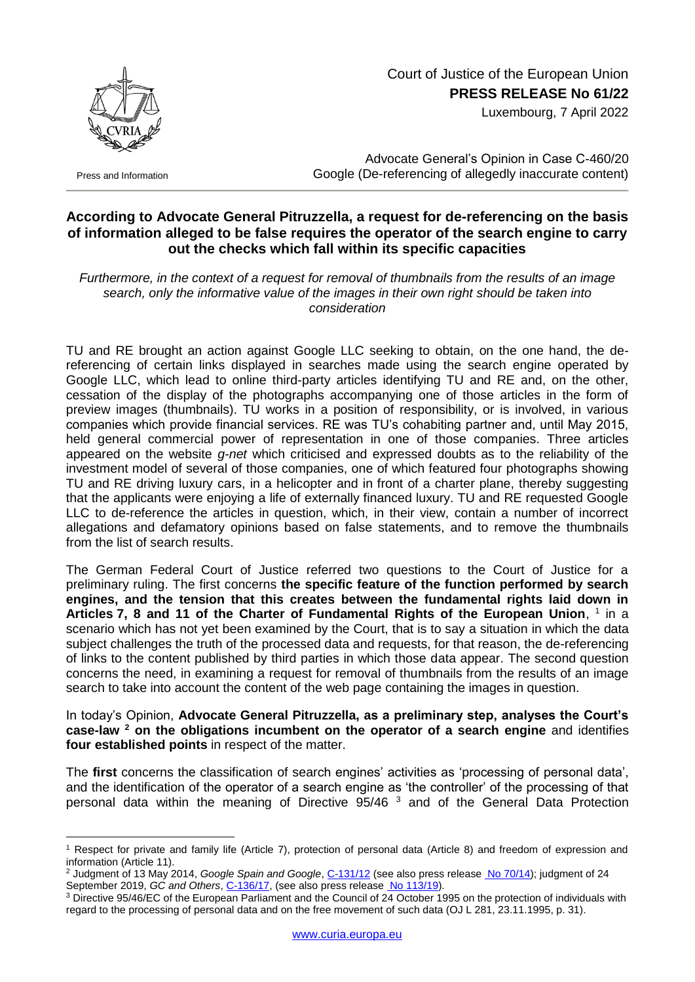

Press and Information

1

## Court of Justice of the European Union **PRESS RELEASE No 61/22**

Luxembourg, 7 April 2022

Advocate General's Opinion in Case C-460/20 Google (De-referencing of allegedly inaccurate content)

## **According to Advocate General Pitruzzella, a request for de-referencing on the basis of information alleged to be false requires the operator of the search engine to carry out the checks which fall within its specific capacities**

*Furthermore, in the context of a request for removal of thumbnails from the results of an image search, only the informative value of the images in their own right should be taken into consideration*

TU and RE brought an action against Google LLC seeking to obtain, on the one hand, the dereferencing of certain links displayed in searches made using the search engine operated by Google LLC, which lead to online third-party articles identifying TU and RE and, on the other, cessation of the display of the photographs accompanying one of those articles in the form of preview images (thumbnails). TU works in a position of responsibility, or is involved, in various companies which provide financial services. RE was TU's cohabiting partner and, until May 2015, held general commercial power of representation in one of those companies. Three articles appeared on the website *g-net* which criticised and expressed doubts as to the reliability of the investment model of several of those companies, one of which featured four photographs showing TU and RE driving luxury cars, in a helicopter and in front of a charter plane, thereby suggesting that the applicants were enjoying a life of externally financed luxury. TU and RE requested Google LLC to de-reference the articles in question, which, in their view, contain a number of incorrect allegations and defamatory opinions based on false statements, and to remove the thumbnails from the list of search results.

The German Federal Court of Justice referred two questions to the Court of Justice for a preliminary ruling. The first concerns **the specific feature of the function performed by search engines, and the tension that this creates between the fundamental rights laid down in**  Articles 7, 8 and 11 of the Charter of Fundamental Rights of the European Union, <sup>1</sup> in a scenario which has not yet been examined by the Court, that is to say a situation in which the data subject challenges the truth of the processed data and requests, for that reason, the de-referencing of links to the content published by third parties in which those data appear. The second question concerns the need, in examining a request for removal of thumbnails from the results of an image search to take into account the content of the web page containing the images in question.

In today's Opinion, **Advocate General Pitruzzella, as a preliminary step, analyses the Court's case-law <sup>2</sup> on the obligations incumbent on the operator of a search engine** and identifies **four established points** in respect of the matter.

The **first** concerns the classification of search engines' activities as 'processing of personal data', and the identification of the operator of a search engine as 'the controller' of the processing of that personal data within the meaning of Directive 95/46 <sup>3</sup> and of the General Data Protection

<sup>1</sup> Respect for private and family life (Article 7), protection of personal data (Article 8) and freedom of expression and information (Article 11).

<sup>2</sup> Judgment of 13 May 2014, *Google Spain and Google*, [C-131/12](http://curia.europa.eu/juris/documents.jsf?num=C-131/12) (see also press release [No 70/14\)](https://curia.europa.eu/jcms/upload/docs/application/pdf/2014-05/cp140070en.pdf); judgment of 24 September 2019, *GC and Others*, *C-136/17*, (see also press release [No 113/19\)](https://curia.europa.eu/jcms/upload/docs/application/pdf/2019-09/cp190113en.pdf).

<sup>3</sup> Directive 95/46/EC of the European Parliament and the Council of 24 October 1995 on the protection of individuals with regard to the processing of personal data and on the free movement of such data (OJ L 281, 23.11.1995, p. 31).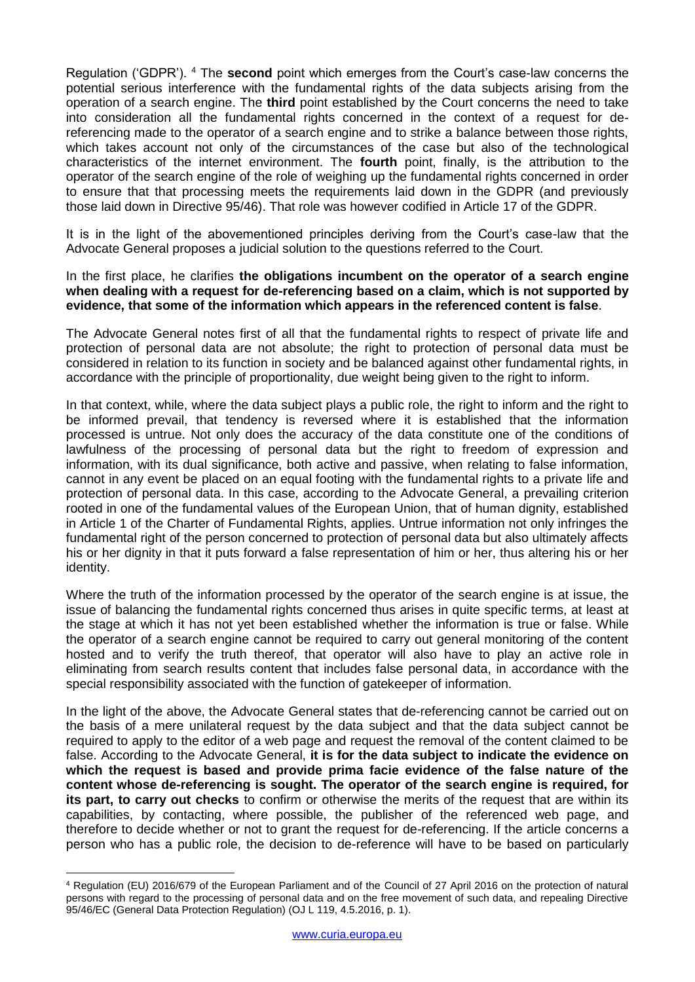Regulation ('GDPR'). <sup>4</sup> The **second** point which emerges from the Court's case-law concerns the potential serious interference with the fundamental rights of the data subjects arising from the operation of a search engine. The **third** point established by the Court concerns the need to take into consideration all the fundamental rights concerned in the context of a request for dereferencing made to the operator of a search engine and to strike a balance between those rights, which takes account not only of the circumstances of the case but also of the technological characteristics of the internet environment. The **fourth** point, finally, is the attribution to the operator of the search engine of the role of weighing up the fundamental rights concerned in order to ensure that that processing meets the requirements laid down in the GDPR (and previously those laid down in Directive 95/46). That role was however codified in Article 17 of the GDPR.

It is in the light of the abovementioned principles deriving from the Court's case-law that the Advocate General proposes a judicial solution to the questions referred to the Court.

## In the first place, he clarifies **the obligations incumbent on the operator of a search engine when dealing with a request for de-referencing based on a claim, which is not supported by evidence, that some of the information which appears in the referenced content is false**.

The Advocate General notes first of all that the fundamental rights to respect of private life and protection of personal data are not absolute; the right to protection of personal data must be considered in relation to its function in society and be balanced against other fundamental rights, in accordance with the principle of proportionality, due weight being given to the right to inform.

In that context, while, where the data subject plays a public role, the right to inform and the right to be informed prevail, that tendency is reversed where it is established that the information processed is untrue. Not only does the accuracy of the data constitute one of the conditions of lawfulness of the processing of personal data but the right to freedom of expression and information, with its dual significance, both active and passive, when relating to false information, cannot in any event be placed on an equal footing with the fundamental rights to a private life and protection of personal data. In this case, according to the Advocate General, a prevailing criterion rooted in one of the fundamental values of the European Union, that of human dignity, established in Article 1 of the Charter of Fundamental Rights, applies. Untrue information not only infringes the fundamental right of the person concerned to protection of personal data but also ultimately affects his or her dignity in that it puts forward a false representation of him or her, thus altering his or her identity.

Where the truth of the information processed by the operator of the search engine is at issue, the issue of balancing the fundamental rights concerned thus arises in quite specific terms, at least at the stage at which it has not yet been established whether the information is true or false. While the operator of a search engine cannot be required to carry out general monitoring of the content hosted and to verify the truth thereof, that operator will also have to play an active role in eliminating from search results content that includes false personal data, in accordance with the special responsibility associated with the function of gatekeeper of information.

In the light of the above, the Advocate General states that de-referencing cannot be carried out on the basis of a mere unilateral request by the data subject and that the data subject cannot be required to apply to the editor of a web page and request the removal of the content claimed to be false. According to the Advocate General, **it is for the data subject to indicate the evidence on which the request is based and provide prima facie evidence of the false nature of the content whose de-referencing is sought. The operator of the search engine is required, for its part, to carry out checks** to confirm or otherwise the merits of the request that are within its capabilities, by contacting, where possible, the publisher of the referenced web page, and therefore to decide whether or not to grant the request for de-referencing. If the article concerns a person who has a public role, the decision to de-reference will have to be based on particularly

<sup>1</sup> <sup>4</sup> Regulation (EU) 2016/679 of the European Parliament and of the Council of 27 April 2016 on the protection of natural persons with regard to the processing of personal data and on the free movement of such data, and repealing Directive 95/46/EC (General Data Protection Regulation) (OJ L 119, 4.5.2016, p. 1).